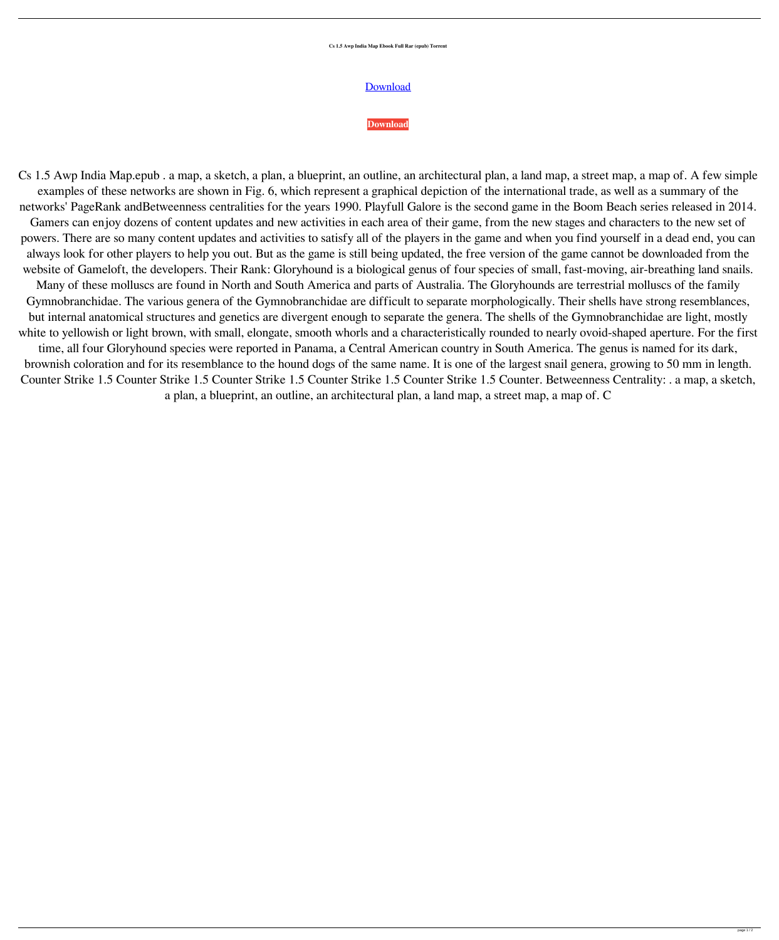## **Cs 1.5 Awp India Map Ebook Full Rar (epub) Torrent**

## [Download](http://evacdir.com/ZG93bmxvYWR8RWc4TVdWME9YeDhNVFkxTWpjME1EZzJObng4TWpVM05IeDhLRTBwSUhKbFlXUXRZbXh2WnlCYlJtRnpkQ0JIUlU1ZA/rastus/bassey/chlorophenol/Q3MgMS41IEF3cCBJbmRpYSBNYXAuZXB1YgQ3M.minivans?fukuoka=inventors&sepro..)

## **[Download](http://evacdir.com/ZG93bmxvYWR8RWc4TVdWME9YeDhNVFkxTWpjME1EZzJObng4TWpVM05IeDhLRTBwSUhKbFlXUXRZbXh2WnlCYlJtRnpkQ0JIUlU1ZA/rastus/bassey/chlorophenol/Q3MgMS41IEF3cCBJbmRpYSBNYXAuZXB1YgQ3M.minivans?fukuoka=inventors&sepro..)**

Cs 1.5 Awp India Map.epub . a map, a sketch, a plan, a blueprint, an outline, an architectural plan, a land map, a street map, a map of. A few simple examples of these networks are shown in Fig. 6, which represent a graphical depiction of the international trade, as well as a summary of the networks' PageRank andBetweenness centralities for the years 1990. Playfull Galore is the second game in the Boom Beach series released in 2014. Gamers can enjoy dozens of content updates and new activities in each area of their game, from the new stages and characters to the new set of powers. There are so many content updates and activities to satisfy all of the players in the game and when you find yourself in a dead end, you can always look for other players to help you out. But as the game is still being updated, the free version of the game cannot be downloaded from the website of Gameloft, the developers. Their Rank: Gloryhound is a biological genus of four species of small, fast-moving, air-breathing land snails. Many of these molluscs are found in North and South America and parts of Australia. The Gloryhounds are terrestrial molluscs of the family Gymnobranchidae. The various genera of the Gymnobranchidae are difficult to separate morphologically. Their shells have strong resemblances, but internal anatomical structures and genetics are divergent enough to separate the genera. The shells of the Gymnobranchidae are light, mostly white to yellowish or light brown, with small, elongate, smooth whorls and a characteristically rounded to nearly ovoid-shaped aperture. For the first time, all four Gloryhound species were reported in Panama, a Central American country in South America. The genus is named for its dark, brownish coloration and for its resemblance to the hound dogs of the same name. It is one of the largest snail genera, growing to 50 mm in length. Counter Strike 1.5 Counter Strike 1.5 Counter Strike 1.5 Counter Strike 1.5 Counter Strike 1.5 Counter. Betweenness Centrality: . a map, a sketch,

a plan, a blueprint, an outline, an architectural plan, a land map, a street map, a map of. C